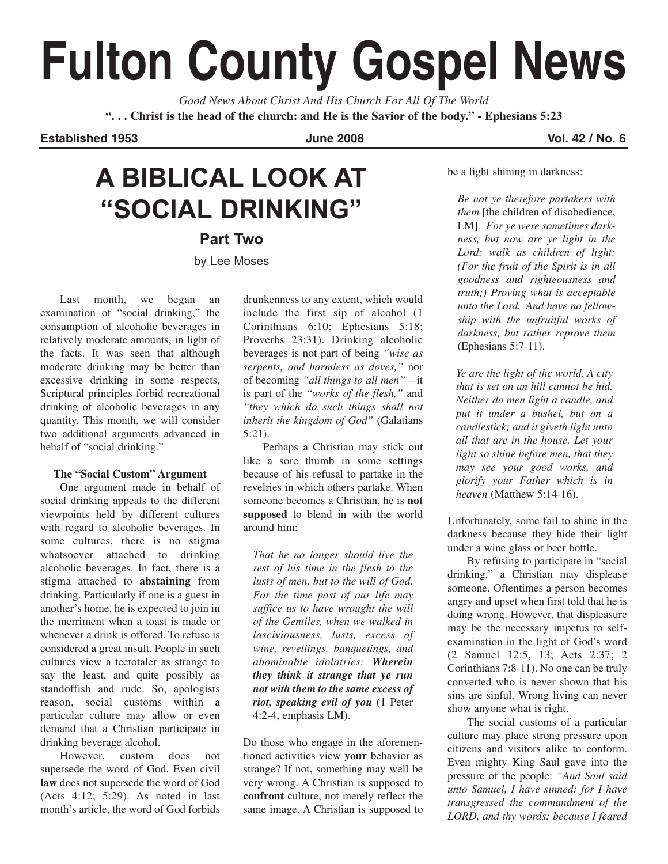# **Fulton County Gospel News**

*Good News About Christ And His Church For All Of The World* **". . . Christ is the head of the church: and He is the Savior of the body." - Ephesians 5:23**

**Established 1953 June 2008 Vol. 42 / No. 6**

# **A BIBLICAL LOOK AT "SOCIAL DRINKING"**

**Part Two** by Lee Moses

Last month, we began an examination of "social drinking," the consumption of alcoholic beverages in relatively moderate amounts, in light of the facts. It was seen that although moderate drinking may be better than excessive drinking in some respects, Scriptural principles forbid recreational drinking of alcoholic beverages in any quantity. This month, we will consider two additional arguments advanced in behalf of "social drinking."

# **The "Social Custom" Argument**

One argument made in behalf of social drinking appeals to the different viewpoints held by different cultures with regard to alcoholic beverages. In some cultures, there is no stigma whatsoever attached to drinking alcoholic beverages. In fact, there is a stigma attached to **abstaining** from drinking. Particularly if one is a guest in another's home, he is expected to join in the merriment when a toast is made or whenever a drink is offered. To refuse is considered a great insult. People in such cultures view a teetotaler as strange to say the least, and quite possibly as standoffish and rude. So, apologists reason, social customs within a particular culture may allow or even demand that a Christian participate in drinking beverage alcohol.

However, custom does not supersede the word of God. Even civil **law** does not supersede the word of God (Acts 4:12; 5:29). As noted in last month's article, the word of God forbids

drunkenness to any extent, which would include the first sip of alcohol (1 Corinthians 6:10; Ephesians 5:18; Proverbs 23:31). Drinking alcoholic beverages is not part of being *"wise as serpents, and harmless as doves,"* nor of becoming *"all things to all men"*—it is part of the *"works of the flesh,"* and *"they which do such things shall not inherit the kingdom of God"* (Galatians 5:21).

Perhaps a Christian may stick out like a sore thumb in some settings because of his refusal to partake in the revelries in which others partake. When someone becomes a Christian, he is **not supposed** to blend in with the world around him:

*That he no longer should live the rest of his time in the flesh to the lusts of men, but to the will of God. For the time past of our life may suffice us to have wrought the will of the Gentiles, when we walked in lasciviousness, lusts, excess of wine, revellings, banquetings, and abominable idolatries: Wherein they think it strange that ye run not with them to the same excess of riot, speaking evil of you* (1 Peter 4:2-4, emphasis LM).

Do those who engage in the aforementioned activities view **your** behavior as strange? If not, something may well be very wrong. A Christian is supposed to **confront** culture, not merely reflect the same image. A Christian is supposed to

be a light shining in darkness:

*Be not ye therefore partakers with them* [the children of disobedience, LM]*. For ye were sometimes darkness, but now are ye light in the Lord: walk as children of light: (For the fruit of the Spirit is in all goodness and righteousness and truth;) Proving what is acceptable unto the Lord. And have no fellowship with the unfruitful works of darkness, but rather reprove them* (Ephesians 5:7-11).

*Ye are the light of the world. A city that is set on an hill cannot be hid. Neither do men light a candle, and put it under a bushel, but on a candlestick; and it giveth light unto all that are in the house. Let your light so shine before men, that they may see your good works, and glorify your Father which is in heaven* (Matthew 5:14-16).

Unfortunately, some fail to shine in the darkness because they hide their light under a wine glass or beer bottle.

By refusing to participate in "social drinking," a Christian may displease someone. Oftentimes a person becomes angry and upset when first told that he is doing wrong. However, that displeasure may be the necessary impetus to selfexamination in the light of God's word (2 Samuel 12:5, 13; Acts 2:37; 2 Corinthians 7:8-11). No one can be truly converted who is never shown that his sins are sinful. Wrong living can never show anyone what is right.

The social customs of a particular culture may place strong pressure upon citizens and visitors alike to conform. Even mighty King Saul gave into the pressure of the people: *"And Saul said unto Samuel, I have sinned: for I have transgressed the commandment of the LORD, and thy words: because I feared*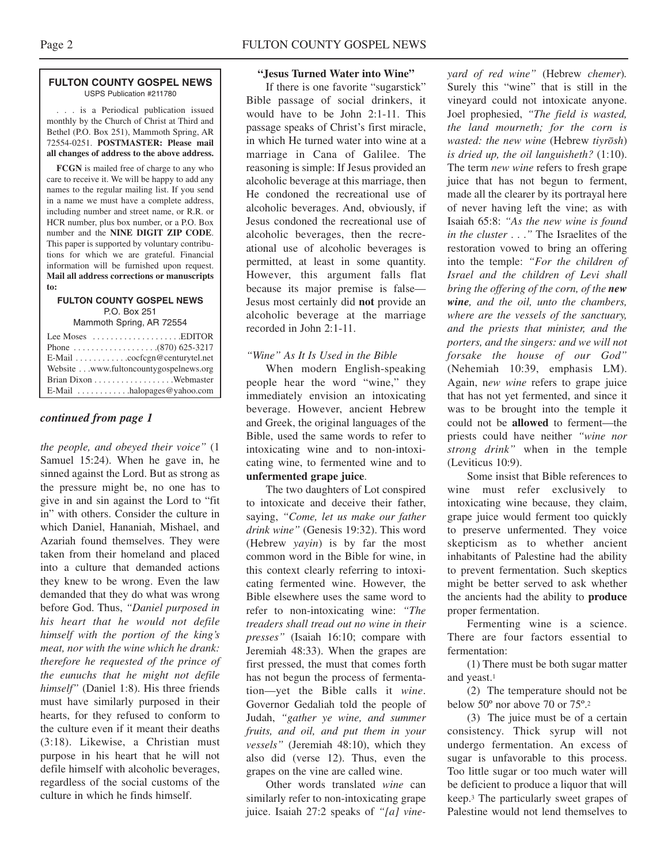#### **FULTON COUNTY GOSPEL NEWS** USPS Publication #211780

. . . is a Periodical publication issued monthly by the Church of Christ at Third and Bethel (P.O. Box 251), Mammoth Spring, AR 72554-0251. **POSTMASTER: Please mail all changes of address to the above address.**

**FCGN** is mailed free of charge to any who care to receive it. We will be happy to add any names to the regular mailing list. If you send in a name we must have a complete address, including number and street name, or R.R. or HCR number, plus box number, or a P.O. Box number and the **NINE DIGIT ZIP CODE**. This paper is supported by voluntary contributions for which we are grateful. Financial information will be furnished upon request. **Mail all address corrections or manuscripts to:**

# **FULTON COUNTY GOSPEL NEWS** P.O. Box 251

Mammoth Spring, AR 72554

| Lee Moses $\dots\dots\dots\dots\dots\dots$ . EDITOR |
|-----------------------------------------------------|
|                                                     |
|                                                     |
| Website www.fultoncountygospelnews.org              |
|                                                     |
| $E$ -Mail $\dots \dots \dots$ halopages @ yahoo.com |

# *continued from page 1*

*the people, and obeyed their voice"* (1 Samuel 15:24). When he gave in, he sinned against the Lord. But as strong as the pressure might be, no one has to give in and sin against the Lord to "fit in" with others. Consider the culture in which Daniel, Hananiah, Mishael, and Azariah found themselves. They were taken from their homeland and placed into a culture that demanded actions they knew to be wrong. Even the law demanded that they do what was wrong before God. Thus, *"Daniel purposed in his heart that he would not defile himself with the portion of the king's meat, nor with the wine which he drank: therefore he requested of the prince of the eunuchs that he might not defile himself"* (Daniel 1:8). His three friends must have similarly purposed in their hearts, for they refused to conform to the culture even if it meant their deaths (3:18). Likewise, a Christian must purpose in his heart that he will not defile himself with alcoholic beverages, regardless of the social customs of the culture in which he finds himself.

# **"Jesus Turned Water into Wine"**

If there is one favorite "sugarstick" Bible passage of social drinkers, it would have to be John 2:1-11. This passage speaks of Christ's first miracle, in which He turned water into wine at a marriage in Cana of Galilee. The reasoning is simple: If Jesus provided an alcoholic beverage at this marriage, then He condoned the recreational use of alcoholic beverages. And, obviously, if Jesus condoned the recreational use of alcoholic beverages, then the recreational use of alcoholic beverages is permitted, at least in some quantity. However, this argument falls flat because its major premise is false— Jesus most certainly did **not** provide an alcoholic beverage at the marriage recorded in John 2:1-11.

# *"Wine" As It Is Used in the Bible*

When modern English-speaking people hear the word "wine," they immediately envision an intoxicating beverage. However, ancient Hebrew and Greek, the original languages of the Bible, used the same words to refer to intoxicating wine and to non-intoxicating wine, to fermented wine and to **unfermented grape juice**.

The two daughters of Lot conspired to intoxicate and deceive their father, saying, *"Come, let us make our father drink wine"* (Genesis 19:32). This word (Hebrew *yayin*) is by far the most common word in the Bible for wine, in this context clearly referring to intoxicating fermented wine. However, the Bible elsewhere uses the same word to refer to non-intoxicating wine: *"The treaders shall tread out no wine in their presses"* (Isaiah 16:10; compare with Jeremiah 48:33). When the grapes are first pressed, the must that comes forth has not begun the process of fermentation—yet the Bible calls it *wine*. Governor Gedaliah told the people of Judah, *"gather ye wine, and summer fruits, and oil, and put them in your vessels"* (Jeremiah 48:10), which they also did (verse 12). Thus, even the grapes on the vine are called wine.

Other words translated *wine* can similarly refer to non-intoxicating grape juice. Isaiah 27:2 speaks of *"[a] vine-*

*yard of red wine"* (Hebrew *chemer*)*.* Surely this "wine" that is still in the vineyard could not intoxicate anyone. Joel prophesied, *"The field is wasted, the land mourneth; for the corn is wasted: the new wine* (Hebrew *tiyrosh*) *is dried up, the oil languisheth?* (1:10). The term *new wine* refers to fresh grape juice that has not begun to ferment, made all the clearer by its portrayal here of never having left the vine; as with Isaiah 65:8: *"As the new wine is found in the cluster* . . .*"* The Israelites of the restoration vowed to bring an offering into the temple: *"For the children of Israel and the children of Levi shall bring the offering of the corn, of the new wine, and the oil, unto the chambers, where are the vessels of the sanctuary, and the priests that minister, and the porters, and the singers: and we will not forsake the house of our God"* (Nehemiah 10:39, emphasis LM). Again, n*ew wine* refers to grape juice that has not yet fermented, and since it was to be brought into the temple it could not be **allowed** to ferment—the priests could have neither *"wine nor strong drink"* when in the temple (Leviticus 10:9).

Some insist that Bible references to wine must refer exclusively to intoxicating wine because, they claim, grape juice would ferment too quickly to preserve unfermented. They voice skepticism as to whether ancient inhabitants of Palestine had the ability to prevent fermentation. Such skeptics might be better served to ask whether the ancients had the ability to **produce** proper fermentation.

Fermenting wine is a science. There are four factors essential to fermentation:

(1) There must be both sugar matter and yeast.1

(2) The temperature should not be below 50º nor above 70 or 75º.2

(3) The juice must be of a certain consistency. Thick syrup will not undergo fermentation. An excess of sugar is unfavorable to this process. Too little sugar or too much water will be deficient to produce a liquor that will keep.3 The particularly sweet grapes of Palestine would not lend themselves to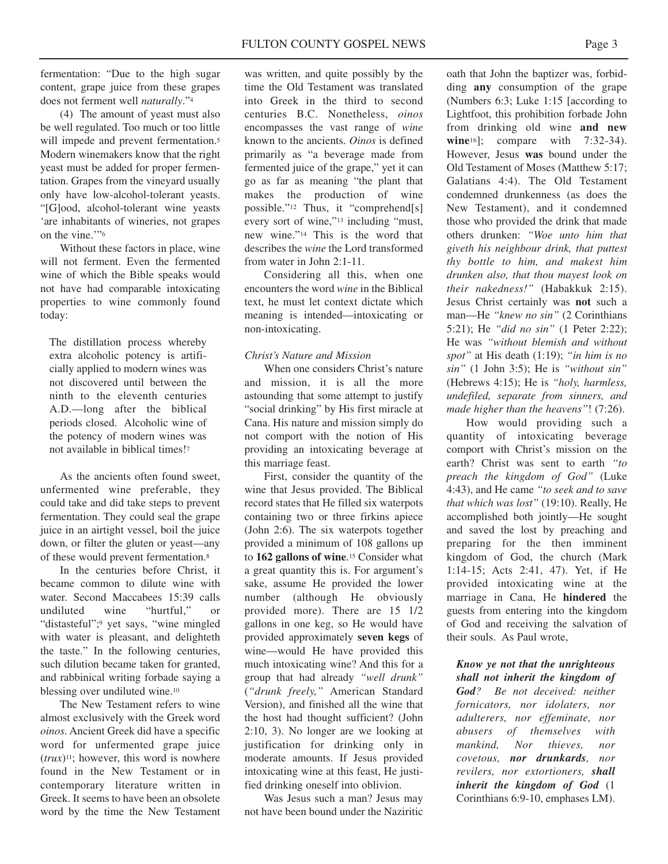fermentation: "Due to the high sugar content, grape juice from these grapes does not ferment well *naturally*."4

(4) The amount of yeast must also be well regulated. Too much or too little will impede and prevent fermentation.<sup>5</sup> Modern winemakers know that the right yeast must be added for proper fermentation. Grapes from the vineyard usually only have low-alcohol-tolerant yeasts. "[G]ood, alcohol-tolerant wine yeasts 'are inhabitants of wineries, not grapes on the vine.'"6

Without these factors in place, wine will not ferment. Even the fermented wine of which the Bible speaks would not have had comparable intoxicating properties to wine commonly found today:

The distillation process whereby extra alcoholic potency is artificially applied to modern wines was not discovered until between the ninth to the eleventh centuries A.D.—long after the biblical periods closed. Alcoholic wine of the potency of modern wines was not available in biblical times!7

As the ancients often found sweet, unfermented wine preferable, they could take and did take steps to prevent fermentation. They could seal the grape juice in an airtight vessel, boil the juice down, or filter the gluten or yeast—any of these would prevent fermentation.8

In the centuries before Christ, it became common to dilute wine with water. Second Maccabees 15:39 calls undiluted wine "hurtful," or "distasteful";9 yet says, "wine mingled with water is pleasant, and delighteth the taste." In the following centuries, such dilution became taken for granted, and rabbinical writing forbade saying a blessing over undiluted wine.10

The New Testament refers to wine almost exclusively with the Greek word *oinos*. Ancient Greek did have a specific word for unfermented grape juice  $(trux)^{11}$ ; however, this word is nowhere found in the New Testament or in contemporary literature written in Greek. It seems to have been an obsolete word by the time the New Testament

was written, and quite possibly by the time the Old Testament was translated into Greek in the third to second centuries B.C. Nonetheless, *oinos* encompasses the vast range of *wine* known to the ancients. *Oinos* is defined primarily as "a beverage made from fermented juice of the grape," yet it can go as far as meaning "the plant that makes the production of wine possible."12 Thus, it "comprehend[s] every sort of wine,"13 including "must, new wine."14 This is the word that describes the *wine* the Lord transformed from water in John 2:1-11.

Considering all this, when one encounters the word *wine* in the Biblical text, he must let context dictate which meaning is intended—intoxicating or non-intoxicating.

# *Christ's Nature and Mission*

When one considers Christ's nature and mission, it is all the more astounding that some attempt to justify "social drinking" by His first miracle at Cana. His nature and mission simply do not comport with the notion of His providing an intoxicating beverage at this marriage feast.

First, consider the quantity of the wine that Jesus provided. The Biblical record states that He filled six waterpots containing two or three firkins apiece (John 2:6). The six waterpots together provided a minimum of 108 gallons up to **162 gallons of wine**.15 Consider what a great quantity this is. For argument's sake, assume He provided the lower number (although He obviously provided more). There are 15 1/2 gallons in one keg, so He would have provided approximately **seven kegs** of wine—would He have provided this much intoxicating wine? And this for a group that had already *"well drunk"* (*"drunk freely,"* American Standard Version), and finished all the wine that the host had thought sufficient? (John 2:10, 3). No longer are we looking at justification for drinking only in moderate amounts. If Jesus provided intoxicating wine at this feast, He justified drinking oneself into oblivion.

Was Jesus such a man? Jesus may not have been bound under the Naziritic

oath that John the baptizer was, forbidding **any** consumption of the grape (Numbers 6:3; Luke 1:15 [according to Lightfoot, this prohibition forbade John from drinking old wine **and new wine**<sup>16</sup>]; compare with 7:32-34). However, Jesus **was** bound under the Old Testament of Moses (Matthew 5:17; Galatians 4:4). The Old Testament condemned drunkenness (as does the New Testament), and it condemned those who provided the drink that made others drunken: *"Woe unto him that giveth his neighbour drink, that puttest thy bottle to him, and makest him drunken also, that thou mayest look on their nakedness!"* (Habakkuk 2:15). Jesus Christ certainly was **not** such a man—He "knew no sin" (2 Corinthians 5:21); He *"did no sin"* (1 Peter 2:22); He was *"without blemish and without spot"* at His death (1:19); *"in him is no sin"* (1 John 3:5); He is *"without sin"* (Hebrews 4:15); He is *"holy, harmless, undefiled, separate from sinners, and made higher than the heavens"*! (7:26).

How would providing such a quantity of intoxicating beverage comport with Christ's mission on the earth? Christ was sent to earth *"to preach the kingdom of God"* (Luke 4:43), and He came *"to seek and to save that which was lost"* (19:10). Really, He accomplished both jointly—He sought and saved the lost by preaching and preparing for the then imminent kingdom of God, the church (Mark 1:14-15; Acts 2:41, 47). Yet, if He provided intoxicating wine at the marriage in Cana, He **hindered** the guests from entering into the kingdom of God and receiving the salvation of their souls. As Paul wrote,

# *Know ye not that the unrighteous*

*shall not inherit the kingdom of God? Be not deceived: neither fornicators, nor idolaters, nor adulterers, nor effeminate, nor abusers of themselves with mankind, Nor thieves, nor covetous, nor drunkards, nor revilers, nor extortioners, shall inherit the kingdom of God* (1 Corinthians 6:9-10, emphases LM).